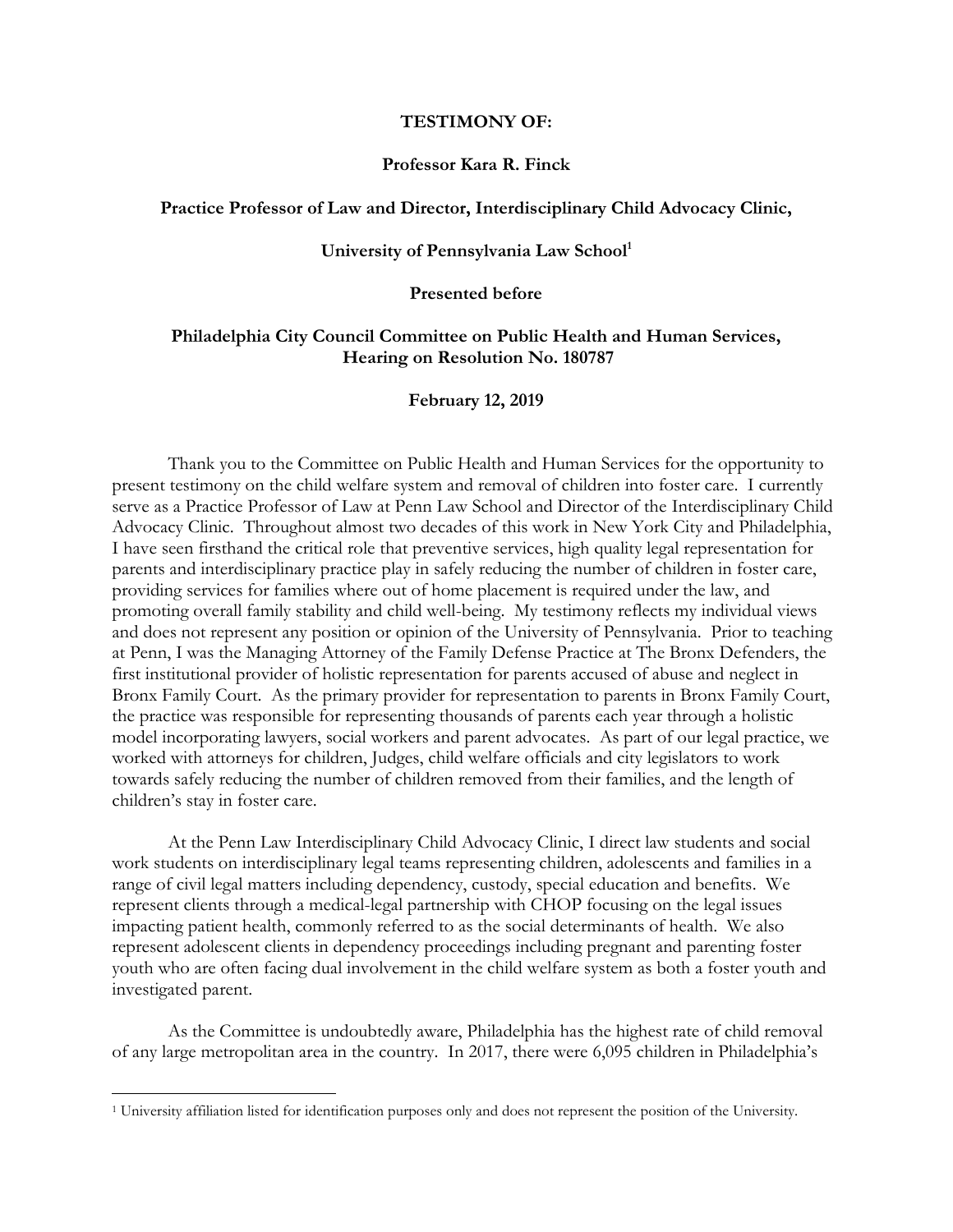## **TESTIMONY OF:**

# **Professor Kara R. Finck**

# **Practice Professor of Law and Director, Interdisciplinary Child Advocacy Clinic,**

#### **University of Pennsylvania Law School<sup>1</sup>**

# **Presented before**

# **Philadelphia City Council Committee on Public Health and Human Services, Hearing on Resolution No. 180787**

#### **February 12, 2019**

Thank you to the Committee on Public Health and Human Services for the opportunity to present testimony on the child welfare system and removal of children into foster care. I currently serve as a Practice Professor of Law at Penn Law School and Director of the Interdisciplinary Child Advocacy Clinic. Throughout almost two decades of this work in New York City and Philadelphia, I have seen firsthand the critical role that preventive services, high quality legal representation for parents and interdisciplinary practice play in safely reducing the number of children in foster care, providing services for families where out of home placement is required under the law, and promoting overall family stability and child well-being. My testimony reflects my individual views and does not represent any position or opinion of the University of Pennsylvania. Prior to teaching at Penn, I was the Managing Attorney of the Family Defense Practice at The Bronx Defenders, the first institutional provider of holistic representation for parents accused of abuse and neglect in Bronx Family Court. As the primary provider for representation to parents in Bronx Family Court, the practice was responsible for representing thousands of parents each year through a holistic model incorporating lawyers, social workers and parent advocates. As part of our legal practice, we worked with attorneys for children, Judges, child welfare officials and city legislators to work towards safely reducing the number of children removed from their families, and the length of children's stay in foster care.

At the Penn Law Interdisciplinary Child Advocacy Clinic, I direct law students and social work students on interdisciplinary legal teams representing children, adolescents and families in a range of civil legal matters including dependency, custody, special education and benefits. We represent clients through a medical-legal partnership with CHOP focusing on the legal issues impacting patient health, commonly referred to as the social determinants of health. We also represent adolescent clients in dependency proceedings including pregnant and parenting foster youth who are often facing dual involvement in the child welfare system as both a foster youth and investigated parent.

As the Committee is undoubtedly aware, Philadelphia has the highest rate of child removal of any large metropolitan area in the country. In 2017, there were 6,095 children in Philadelphia's

<sup>1</sup> University affiliation listed for identification purposes only and does not represent the position of the University.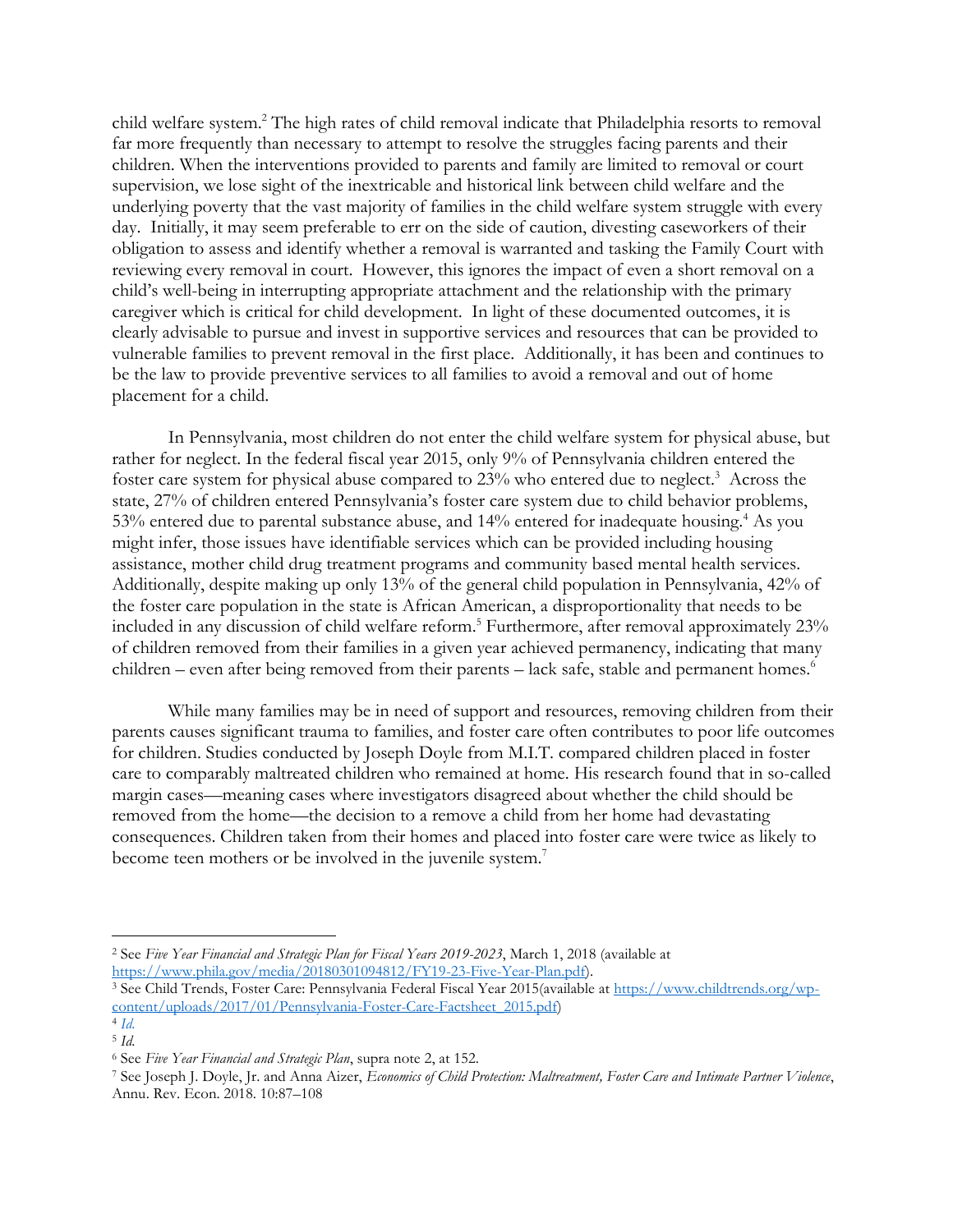child welfare system. <sup>2</sup> The high rates of child removal indicate that Philadelphia resorts to removal far more frequently than necessary to attempt to resolve the struggles facing parents and their children. When the interventions provided to parents and family are limited to removal or court supervision, we lose sight of the inextricable and historical link between child welfare and the underlying poverty that the vast majority of families in the child welfare system struggle with every day. Initially, it may seem preferable to err on the side of caution, divesting caseworkers of their obligation to assess and identify whether a removal is warranted and tasking the Family Court with reviewing every removal in court. However, this ignores the impact of even a short removal on a child's well-being in interrupting appropriate attachment and the relationship with the primary caregiver which is critical for child development. In light of these documented outcomes, it is clearly advisable to pursue and invest in supportive services and resources that can be provided to vulnerable families to prevent removal in the first place. Additionally, it has been and continues to be the law to provide preventive services to all families to avoid a removal and out of home placement for a child.

In Pennsylvania, most children do not enter the child welfare system for physical abuse, but rather for neglect. In the federal fiscal year 2015, only 9% of Pennsylvania children entered the foster care system for physical abuse compared to 23% who entered due to neglect.<sup>3</sup> Across the state, 27% of children entered Pennsylvania's foster care system due to child behavior problems, 53% entered due to parental substance abuse, and 14% entered for inadequate housing.<sup>4</sup> As you might infer, those issues have identifiable services which can be provided including housing assistance, mother child drug treatment programs and community based mental health services. Additionally, despite making up only 13% of the general child population in Pennsylvania, 42% of the foster care population in the state is African American, a disproportionality that needs to be included in any discussion of child welfare reform. <sup>5</sup> Furthermore, after removal approximately 23% of children removed from their families in a given year achieved permanency, indicating that many children – even after being removed from their parents – lack safe, stable and permanent homes.<sup>6</sup>

While many families may be in need of support and resources, removing children from their parents causes significant trauma to families, and foster care often contributes to poor life outcomes for children. Studies conducted by Joseph Doyle from M.I.T. compared children placed in foster care to comparably maltreated children who remained at home. His research found that in so-called margin cases—meaning cases where investigators disagreed about whether the child should be removed from the home—the decision to a remove a child from her home had devastating consequences. Children taken from their homes and placed into foster care were twice as likely to become teen mothers or be involved in the juvenile system.<sup>7</sup>

<sup>2</sup> See *Five Year Financial and Strategic Plan for Fiscal Years 2019-2023*, March 1, 2018 (available at [https://www.phila.gov/media/20180301094812/FY19-23-Five-Year-Plan.pdf\)](https://www.phila.gov/media/20180301094812/FY19-23-Five-Year-Plan.pdf).

<sup>3</sup> See Child Trends, Foster Care: Pennsylvania Federal Fiscal Year 2015(available at [https://www.childtrends.org/wp](https://www.childtrends.org/wp-content/uploads/2017/01/Pennsylvania-Foster-Care-Factsheet_2015.pdf)[content/uploads/2017/01/Pennsylvania-Foster-Care-Factsheet\\_2015.pdf\)](https://www.childtrends.org/wp-content/uploads/2017/01/Pennsylvania-Foster-Care-Factsheet_2015.pdf)

<sup>4</sup> *[Id.](https://www.childtrends.org/wp-content/uploads/2017/01/Pennsylvania-Foster-Care-Factsheet_2015.pdf)* 

<sup>5</sup> *Id.*  <sup>6</sup> See *Five Year Financial and Strategic Plan*, supra note 2, at 152.

<sup>7</sup> See Joseph J. Doyle, Jr. and Anna Aizer, *Economics of Child Protection: Maltreatment, Foster Care and Intimate Partner Violence*, Annu. Rev. Econ. 2018. 10:87–108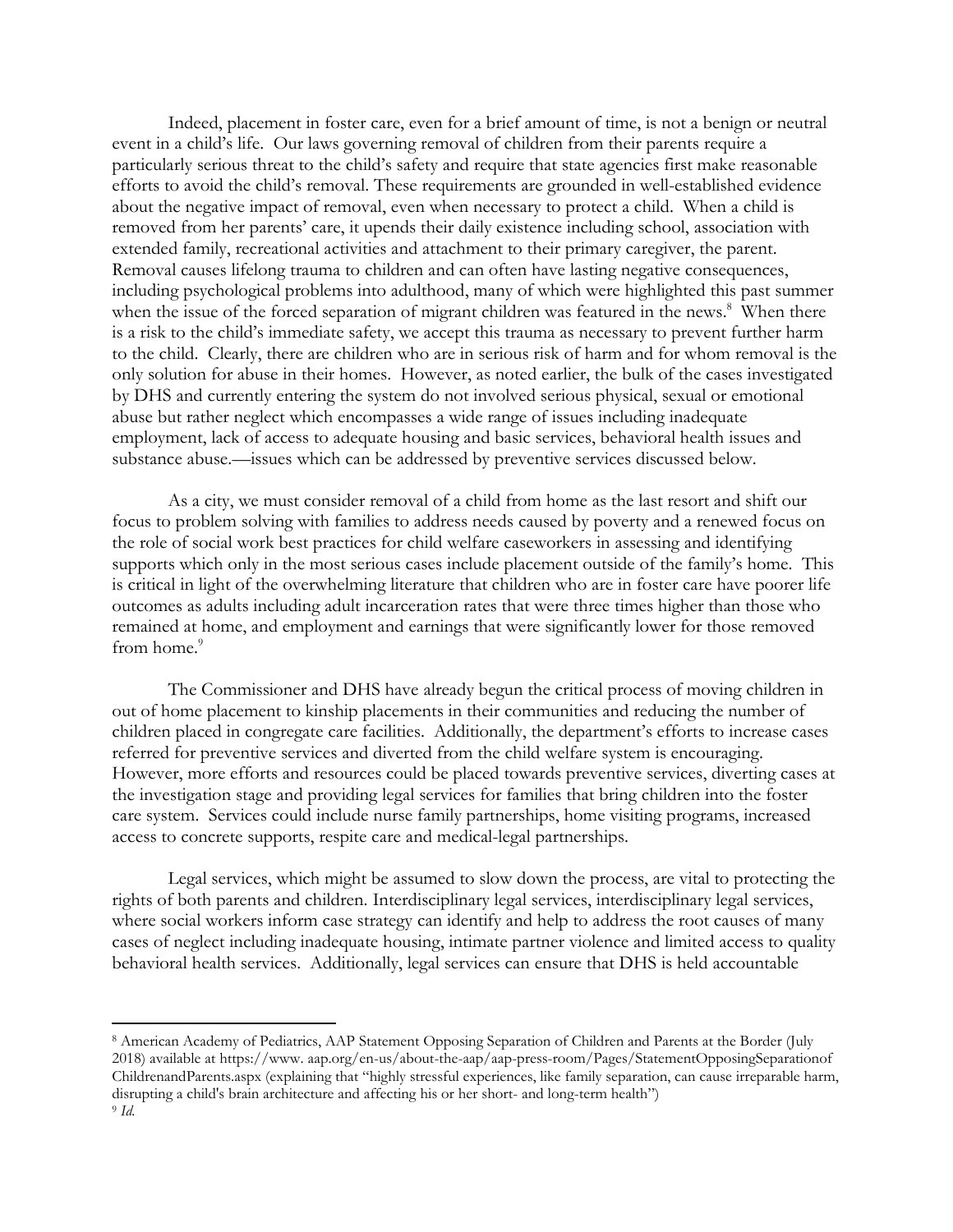Indeed, placement in foster care, even for a brief amount of time, is not a benign or neutral event in a child's life. Our laws governing removal of children from their parents require a particularly serious threat to the child's safety and require that state agencies first make reasonable efforts to avoid the child's removal. These requirements are grounded in well-established evidence about the negative impact of removal, even when necessary to protect a child. When a child is removed from her parents' care, it upends their daily existence including school, association with extended family, recreational activities and attachment to their primary caregiver, the parent. Removal causes lifelong trauma to children and can often have lasting negative consequences, including psychological problems into adulthood, many of which were highlighted this past summer when the issue of the forced separation of migrant children was featured in the news.<sup>8</sup> When there is a risk to the child's immediate safety, we accept this trauma as necessary to prevent further harm to the child. Clearly, there are children who are in serious risk of harm and for whom removal is the only solution for abuse in their homes. However, as noted earlier, the bulk of the cases investigated by DHS and currently entering the system do not involved serious physical, sexual or emotional abuse but rather neglect which encompasses a wide range of issues including inadequate employment, lack of access to adequate housing and basic services, behavioral health issues and substance abuse.—issues which can be addressed by preventive services discussed below.

As a city, we must consider removal of a child from home as the last resort and shift our focus to problem solving with families to address needs caused by poverty and a renewed focus on the role of social work best practices for child welfare caseworkers in assessing and identifying supports which only in the most serious cases include placement outside of the family's home. This is critical in light of the overwhelming literature that children who are in foster care have poorer life outcomes as adults including adult incarceration rates that were three times higher than those who remained at home, and employment and earnings that were significantly lower for those removed from home.<sup>9</sup>

The Commissioner and DHS have already begun the critical process of moving children in out of home placement to kinship placements in their communities and reducing the number of children placed in congregate care facilities. Additionally, the department's efforts to increase cases referred for preventive services and diverted from the child welfare system is encouraging. However, more efforts and resources could be placed towards preventive services, diverting cases at the investigation stage and providing legal services for families that bring children into the foster care system. Services could include nurse family partnerships, home visiting programs, increased access to concrete supports, respite care and medical-legal partnerships.

Legal services, which might be assumed to slow down the process, are vital to protecting the rights of both parents and children. Interdisciplinary legal services, interdisciplinary legal services, where social workers inform case strategy can identify and help to address the root causes of many cases of neglect including inadequate housing, intimate partner violence and limited access to quality behavioral health services. Additionally, legal services can ensure that DHS is held accountable

<sup>8</sup> American Academy of Pediatrics, AAP Statement Opposing Separation of Children and Parents at the Border (July 2018) available at https://www. aap.org/en-us/about-the-aap/aap-press-room/Pages/StatementOpposingSeparationof ChildrenandParents.aspx (explaining that "highly stressful experiences, like family separation, can cause irreparable harm, disrupting a child's brain architecture and affecting his or her short- and long-term health") 9 *Id.*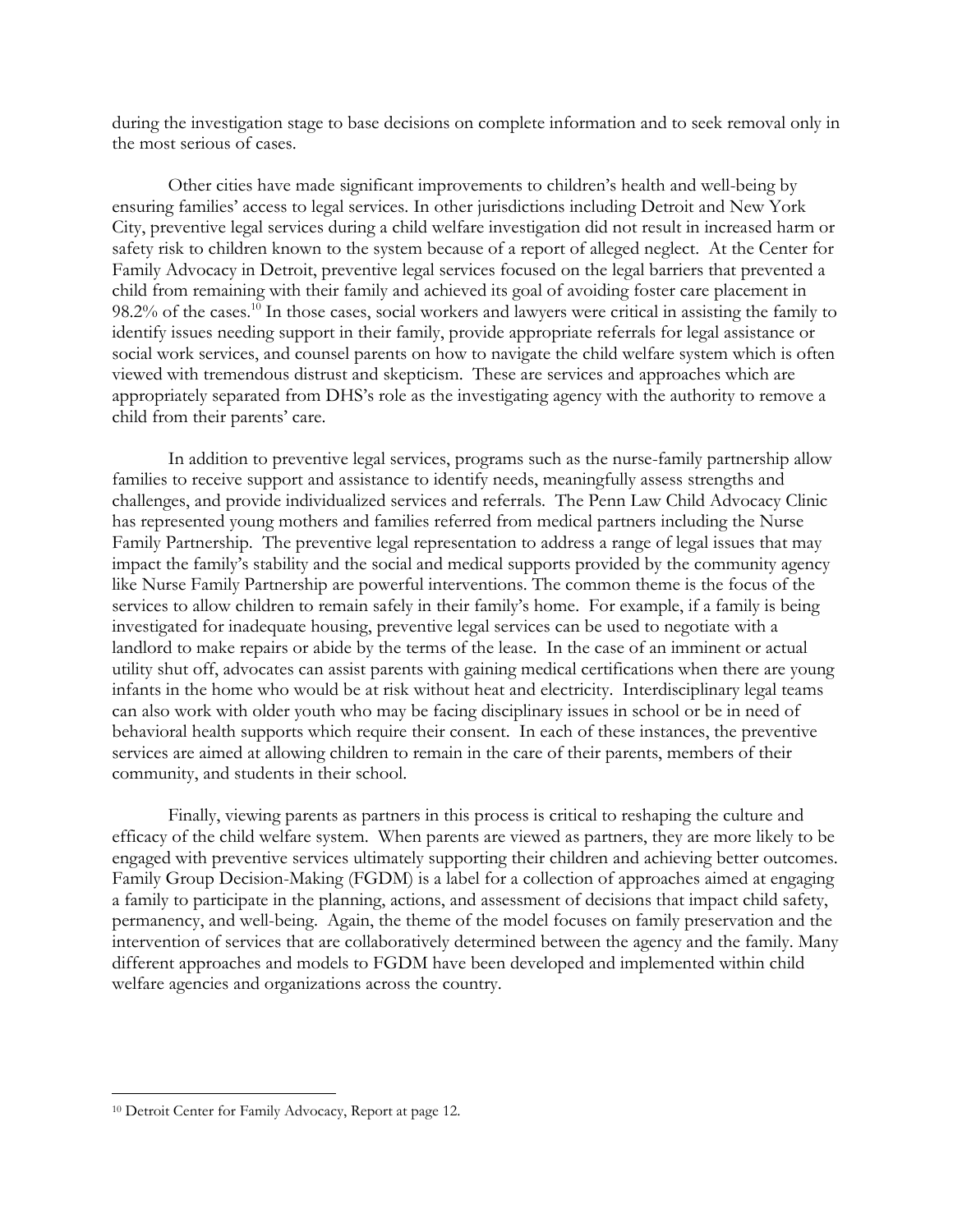during the investigation stage to base decisions on complete information and to seek removal only in the most serious of cases.

Other cities have made significant improvements to children's health and well-being by ensuring families' access to legal services. In other jurisdictions including Detroit and New York City, preventive legal services during a child welfare investigation did not result in increased harm or safety risk to children known to the system because of a report of alleged neglect. At the Center for Family Advocacy in Detroit, preventive legal services focused on the legal barriers that prevented a child from remaining with their family and achieved its goal of avoiding foster care placement in 98.2% of the cases.<sup>10</sup> In those cases, social workers and lawyers were critical in assisting the family to identify issues needing support in their family, provide appropriate referrals for legal assistance or social work services, and counsel parents on how to navigate the child welfare system which is often viewed with tremendous distrust and skepticism. These are services and approaches which are appropriately separated from DHS's role as the investigating agency with the authority to remove a child from their parents' care.

In addition to preventive legal services, programs such as the nurse-family partnership allow families to receive support and assistance to identify needs, meaningfully assess strengths and challenges, and provide individualized services and referrals. The Penn Law Child Advocacy Clinic has represented young mothers and families referred from medical partners including the Nurse Family Partnership. The preventive legal representation to address a range of legal issues that may impact the family's stability and the social and medical supports provided by the community agency like Nurse Family Partnership are powerful interventions. The common theme is the focus of the services to allow children to remain safely in their family's home. For example, if a family is being investigated for inadequate housing, preventive legal services can be used to negotiate with a landlord to make repairs or abide by the terms of the lease. In the case of an imminent or actual utility shut off, advocates can assist parents with gaining medical certifications when there are young infants in the home who would be at risk without heat and electricity. Interdisciplinary legal teams can also work with older youth who may be facing disciplinary issues in school or be in need of behavioral health supports which require their consent. In each of these instances, the preventive services are aimed at allowing children to remain in the care of their parents, members of their community, and students in their school.

Finally, viewing parents as partners in this process is critical to reshaping the culture and efficacy of the child welfare system. When parents are viewed as partners, they are more likely to be engaged with preventive services ultimately supporting their children and achieving better outcomes. Family Group Decision-Making (FGDM) is a label for a collection of approaches aimed at engaging a family to participate in the planning, actions, and assessment of decisions that impact child safety, permanency, and well-being. Again, the theme of the model focuses on family preservation and the intervention of services that are collaboratively determined between the agency and the family. Many different approaches and models to FGDM have been developed and implemented within child welfare agencies and organizations across the country.

<sup>10</sup> Detroit Center for Family Advocacy, Report at page 12.